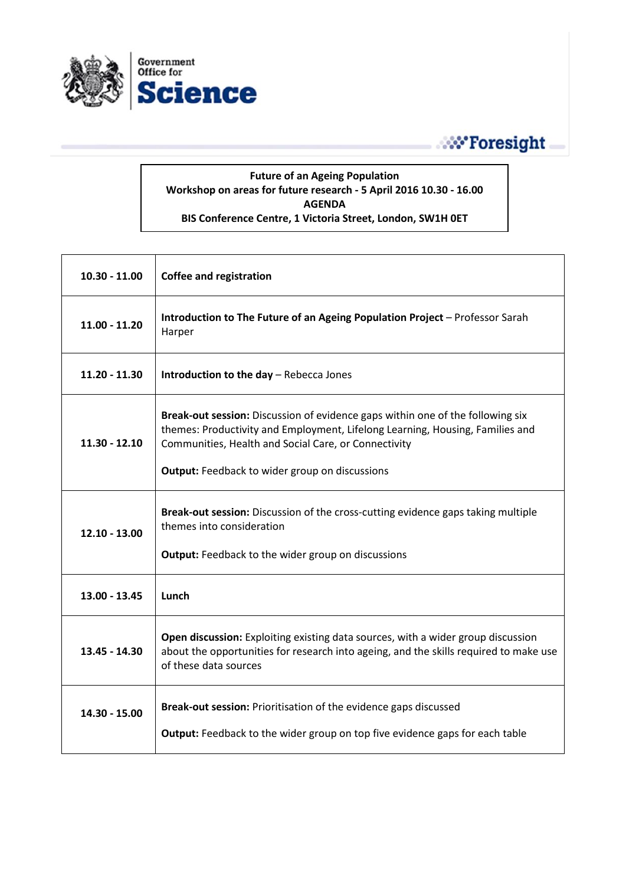

## **No Foresight**

## **Future of an Ageing Population Workshop on areas for future research - 5 April 2016 10.30 - 16.00 AGENDA BIS Conference Centre, 1 Victoria Street, London, SW1H 0ET**

| $10.30 - 11.00$ | <b>Coffee and registration</b>                                                                                                                                                                                                                                                   |
|-----------------|----------------------------------------------------------------------------------------------------------------------------------------------------------------------------------------------------------------------------------------------------------------------------------|
| $11.00 - 11.20$ | Introduction to The Future of an Ageing Population Project - Professor Sarah<br>Harper                                                                                                                                                                                           |
| $11.20 - 11.30$ | Introduction to the day - Rebecca Jones                                                                                                                                                                                                                                          |
| $11.30 - 12.10$ | Break-out session: Discussion of evidence gaps within one of the following six<br>themes: Productivity and Employment, Lifelong Learning, Housing, Families and<br>Communities, Health and Social Care, or Connectivity<br><b>Output:</b> Feedback to wider group on discussions |
| $12.10 - 13.00$ | Break-out session: Discussion of the cross-cutting evidence gaps taking multiple<br>themes into consideration<br><b>Output:</b> Feedback to the wider group on discussions                                                                                                       |
| 13.00 - 13.45   | Lunch                                                                                                                                                                                                                                                                            |
| 13.45 - 14.30   | Open discussion: Exploiting existing data sources, with a wider group discussion<br>about the opportunities for research into ageing, and the skills required to make use<br>of these data sources                                                                               |
| 14.30 - 15.00   | Break-out session: Prioritisation of the evidence gaps discussed<br><b>Output:</b> Feedback to the wider group on top five evidence gaps for each table                                                                                                                          |